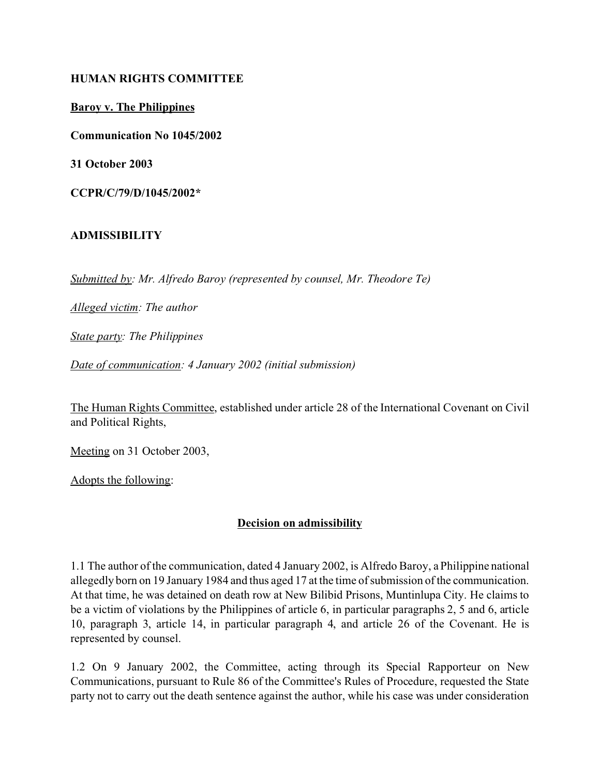### **HUMAN RIGHTS COMMITTEE**

**Baroy v. The Philippines**

**Communication No 1045/2002**

**31 October 2003**

**CCPR/C/79/D/1045/2002\***

## **ADMISSIBILITY**

*Submitted by: Mr. Alfredo Baroy (represented by counsel, Mr. Theodore Te)* 

*Alleged victim: The author*

*State party: The Philippines* 

*Date of communication: 4 January 2002 (initial submission)*

The Human Rights Committee, established under article 28 of the International Covenant on Civil and Political Rights,

Meeting on 31 October 2003,

Adopts the following:

## **Decision on admissibility**

1.1 The author of the communication, dated 4 January 2002, is Alfredo Baroy, a Philippine national allegedly born on 19 January 1984 and thus aged 17 at the time of submission of the communication. At that time, he was detained on death row at New Bilibid Prisons, Muntinlupa City. He claims to be a victim of violations by the Philippines of article 6, in particular paragraphs 2, 5 and 6, article 10, paragraph 3, article 14, in particular paragraph 4, and article 26 of the Covenant. He is represented by counsel.

1.2 On 9 January 2002, the Committee, acting through its Special Rapporteur on New Communications, pursuant to Rule 86 of the Committee's Rules of Procedure, requested the State party not to carry out the death sentence against the author, while his case was under consideration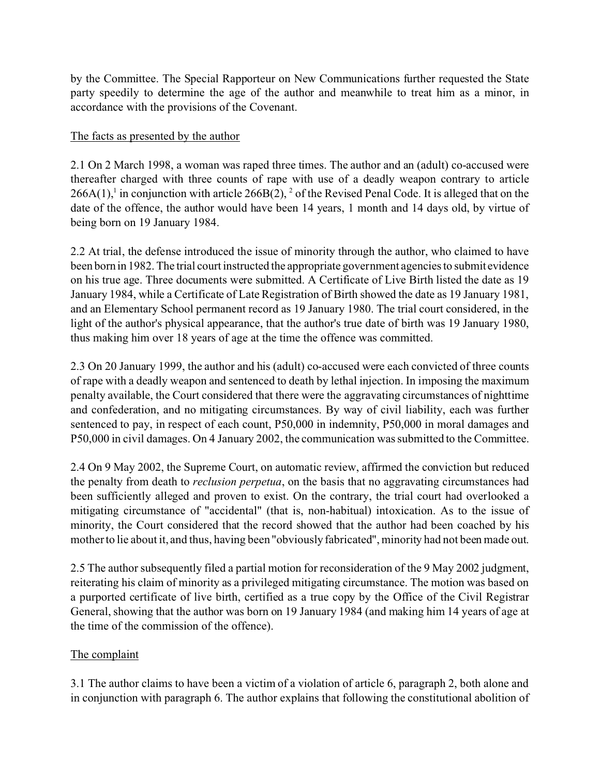by the Committee. The Special Rapporteur on New Communications further requested the State party speedily to determine the age of the author and meanwhile to treat him as a minor, in accordance with the provisions of the Covenant.

## The facts as presented by the author

2.1 On 2 March 1998, a woman was raped three times. The author and an (adult) co-accused were thereafter charged with three counts of rape with use of a deadly weapon contrary to article  $266A(1)$ ,<sup>1</sup> in conjunction with article  $266B(2)$ , <sup>2</sup> of the Revised Penal Code. It is alleged that on the date of the offence, the author would have been 14 years, 1 month and 14 days old, by virtue of being born on 19 January 1984.

2.2 At trial, the defense introduced the issue of minority through the author, who claimed to have been born in 1982. The trial court instructed the appropriate government agencies to submit evidence on his true age. Three documents were submitted. A Certificate of Live Birth listed the date as 19 January 1984, while a Certificate of Late Registration of Birth showed the date as 19 January 1981, and an Elementary School permanent record as 19 January 1980. The trial court considered, in the light of the author's physical appearance, that the author's true date of birth was 19 January 1980, thus making him over 18 years of age at the time the offence was committed.

2.3 On 20 January 1999, the author and his (adult) co-accused were each convicted of three counts of rape with a deadly weapon and sentenced to death by lethal injection. In imposing the maximum penalty available, the Court considered that there were the aggravating circumstances of nighttime and confederation, and no mitigating circumstances. By way of civil liability, each was further sentenced to pay, in respect of each count, P50,000 in indemnity, P50,000 in moral damages and P50,000 in civil damages. On 4 January 2002, the communication was submitted to the Committee.

2.4 On 9 May 2002, the Supreme Court, on automatic review, affirmed the conviction but reduced the penalty from death to *reclusion perpetua*, on the basis that no aggravating circumstances had been sufficiently alleged and proven to exist. On the contrary, the trial court had overlooked a mitigating circumstance of "accidental" (that is, non-habitual) intoxication. As to the issue of minority, the Court considered that the record showed that the author had been coached by his mother to lie about it, and thus, having been "obviously fabricated", minority had not been made out.

2.5 The author subsequently filed a partial motion for reconsideration of the 9 May 2002 judgment, reiterating his claim of minority as a privileged mitigating circumstance. The motion was based on a purported certificate of live birth, certified as a true copy by the Office of the Civil Registrar General, showing that the author was born on 19 January 1984 (and making him 14 years of age at the time of the commission of the offence).

# The complaint

3.1 The author claims to have been a victim of a violation of article 6, paragraph 2, both alone and in conjunction with paragraph 6. The author explains that following the constitutional abolition of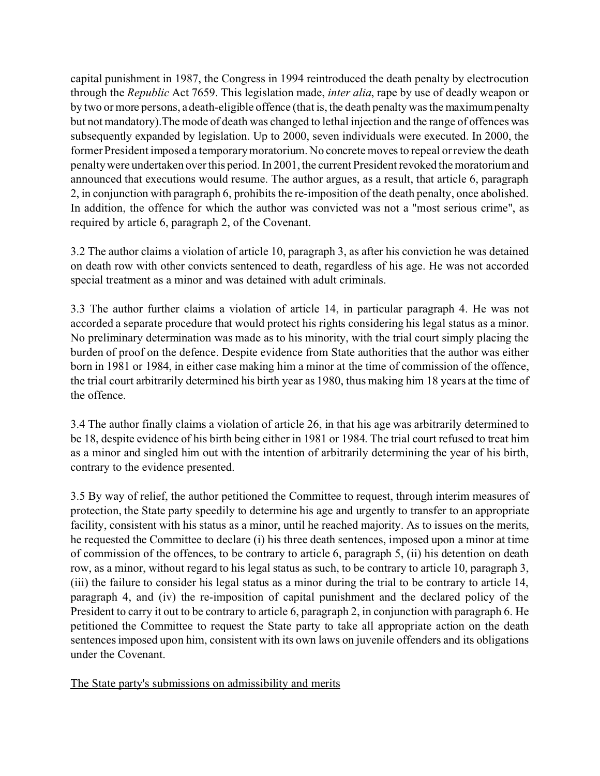capital punishment in 1987, the Congress in 1994 reintroduced the death penalty by electrocution through the *Republic* Act 7659. This legislation made, *inter alia*, rape by use of deadly weapon or by two or more persons, a death-eligible offence (that is, the death penalty was the maximum penalty but not mandatory).The mode of death was changed to lethal injection and the range of offences was subsequently expanded by legislation. Up to 2000, seven individuals were executed. In 2000, the former President imposed a temporary moratorium. No concrete moves to repeal or review the death penalty were undertaken over this period. In 2001, the current President revoked the moratorium and announced that executions would resume. The author argues, as a result, that article 6, paragraph 2, in conjunction with paragraph 6, prohibits the re-imposition of the death penalty, once abolished. In addition, the offence for which the author was convicted was not a "most serious crime", as required by article 6, paragraph 2, of the Covenant.

3.2 The author claims a violation of article 10, paragraph 3, as after his conviction he was detained on death row with other convicts sentenced to death, regardless of his age. He was not accorded special treatment as a minor and was detained with adult criminals.

3.3 The author further claims a violation of article 14, in particular paragraph 4. He was not accorded a separate procedure that would protect his rights considering his legal status as a minor. No preliminary determination was made as to his minority, with the trial court simply placing the burden of proof on the defence. Despite evidence from State authorities that the author was either born in 1981 or 1984, in either case making him a minor at the time of commission of the offence, the trial court arbitrarily determined his birth year as 1980, thus making him 18 years at the time of the offence.

3.4 The author finally claims a violation of article 26, in that his age was arbitrarily determined to be 18, despite evidence of his birth being either in 1981 or 1984. The trial court refused to treat him as a minor and singled him out with the intention of arbitrarily determining the year of his birth, contrary to the evidence presented.

3.5 By way of relief, the author petitioned the Committee to request, through interim measures of protection, the State party speedily to determine his age and urgently to transfer to an appropriate facility, consistent with his status as a minor, until he reached majority. As to issues on the merits, he requested the Committee to declare (i) his three death sentences, imposed upon a minor at time of commission of the offences, to be contrary to article 6, paragraph 5, (ii) his detention on death row, as a minor, without regard to his legal status as such, to be contrary to article 10, paragraph 3, (iii) the failure to consider his legal status as a minor during the trial to be contrary to article 14, paragraph 4, and (iv) the re-imposition of capital punishment and the declared policy of the President to carry it out to be contrary to article 6, paragraph 2, in conjunction with paragraph 6. He petitioned the Committee to request the State party to take all appropriate action on the death sentences imposed upon him, consistent with its own laws on juvenile offenders and its obligations under the Covenant.

The State party's submissions on admissibility and merits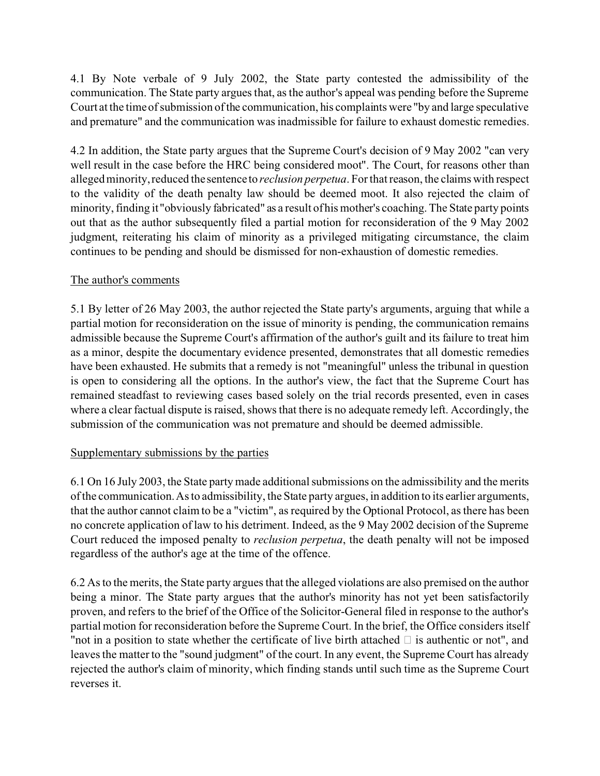4.1 By Note verbale of 9 July 2002, the State party contested the admissibility of the communication. The State party argues that, as the author's appeal was pending before the Supreme Court at the time of submission of the communication, his complaints were "by and large speculative and premature" and the communication was inadmissible for failure to exhaust domestic remedies.

4.2 In addition, the State party argues that the Supreme Court's decision of 9 May 2002 "can very well result in the case before the HRC being considered moot". The Court, for reasons other than alleged minority, reduced the sentence to *reclusion perpetua*. For that reason, the claims with respect to the validity of the death penalty law should be deemed moot. It also rejected the claim of minority, finding it "obviously fabricated" as a result of his mother's coaching. The State party points out that as the author subsequently filed a partial motion for reconsideration of the 9 May 2002 judgment, reiterating his claim of minority as a privileged mitigating circumstance, the claim continues to be pending and should be dismissed for non-exhaustion of domestic remedies.

### The author's comments

5.1 By letter of 26 May 2003, the author rejected the State party's arguments, arguing that while a partial motion for reconsideration on the issue of minority is pending, the communication remains admissible because the Supreme Court's affirmation of the author's guilt and its failure to treat him as a minor, despite the documentary evidence presented, demonstrates that all domestic remedies have been exhausted. He submits that a remedy is not "meaningful" unless the tribunal in question is open to considering all the options. In the author's view, the fact that the Supreme Court has remained steadfast to reviewing cases based solely on the trial records presented, even in cases where a clear factual dispute is raised, shows that there is no adequate remedy left. Accordingly, the submission of the communication was not premature and should be deemed admissible.

#### Supplementary submissions by the parties

6.1 On 16 July 2003, the State party made additional submissions on the admissibility and the merits of the communication. As to admissibility, the State party argues, in addition to its earlier arguments, that the author cannot claim to be a "victim", as required by the Optional Protocol, as there has been no concrete application of law to his detriment. Indeed, as the 9 May 2002 decision of the Supreme Court reduced the imposed penalty to *reclusion perpetua*, the death penalty will not be imposed regardless of the author's age at the time of the offence.

6.2 As to the merits, the State party argues that the alleged violations are also premised on the author being a minor. The State party argues that the author's minority has not yet been satisfactorily proven, and refers to the brief of the Office of the Solicitor-General filed in response to the author's partial motion for reconsideration before the Supreme Court. In the brief, the Office considers itself "not in a position to state whether the certificate of live birth attached  $\Box$  is authentic or not", and leaves the matter to the "sound judgment" of the court. In any event, the Supreme Court has already rejected the author's claim of minority, which finding stands until such time as the Supreme Court reverses it.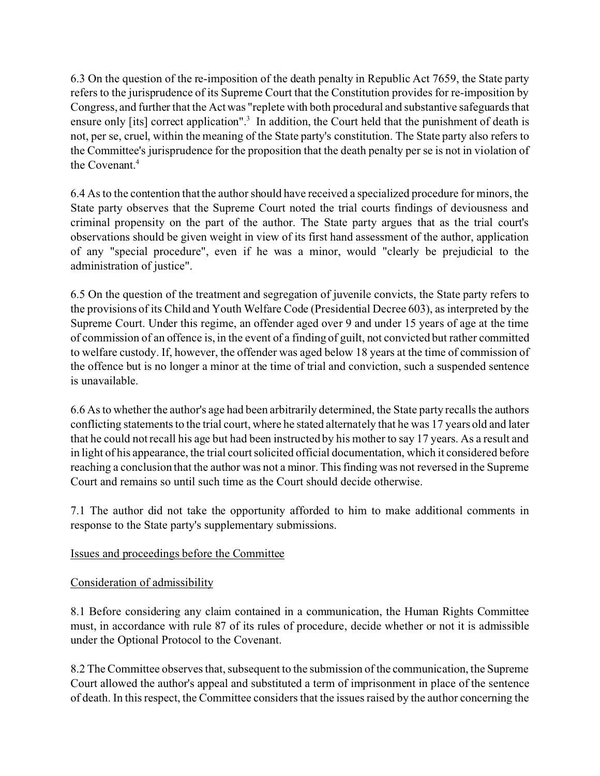6.3 On the question of the re-imposition of the death penalty in Republic Act 7659, the State party refers to the jurisprudence of its Supreme Court that the Constitution provides for re-imposition by Congress, and further that the Act was "replete with both procedural and substantive safeguards that ensure only [its] correct application".<sup>3</sup> In addition, the Court held that the punishment of death is not, per se, cruel, within the meaning of the State party's constitution. The State party also refers to the Committee's jurisprudence for the proposition that the death penalty per se is not in violation of the Covenant.<sup>4</sup>

6.4 As to the contention that the author should have received a specialized procedure for minors, the State party observes that the Supreme Court noted the trial courts findings of deviousness and criminal propensity on the part of the author. The State party argues that as the trial court's observations should be given weight in view of its first hand assessment of the author, application of any "special procedure", even if he was a minor, would "clearly be prejudicial to the administration of justice".

6.5 On the question of the treatment and segregation of juvenile convicts, the State party refers to the provisions of its Child and Youth Welfare Code (Presidential Decree 603), as interpreted by the Supreme Court. Under this regime, an offender aged over 9 and under 15 years of age at the time of commission of an offence is, in the event of a finding of guilt, not convicted but rather committed to welfare custody. If, however, the offender was aged below 18 years at the time of commission of the offence but is no longer a minor at the time of trial and conviction, such a suspended sentence is unavailable.

6.6 As to whether the author's age had been arbitrarily determined, the State party recalls the authors conflicting statements to the trial court, where he stated alternately that he was 17 years old and later that he could not recall his age but had been instructed by his mother to say 17 years. As a result and in light of his appearance, the trial court solicited official documentation, which it considered before reaching a conclusion that the author was not a minor. This finding was not reversed in the Supreme Court and remains so until such time as the Court should decide otherwise.

7.1 The author did not take the opportunity afforded to him to make additional comments in response to the State party's supplementary submissions.

## Issues and proceedings before the Committee

## Consideration of admissibility

8.1 Before considering any claim contained in a communication, the Human Rights Committee must, in accordance with rule 87 of its rules of procedure, decide whether or not it is admissible under the Optional Protocol to the Covenant.

8.2 The Committee observes that, subsequent to the submission of the communication, the Supreme Court allowed the author's appeal and substituted a term of imprisonment in place of the sentence of death. In this respect, the Committee considers that the issues raised by the author concerning the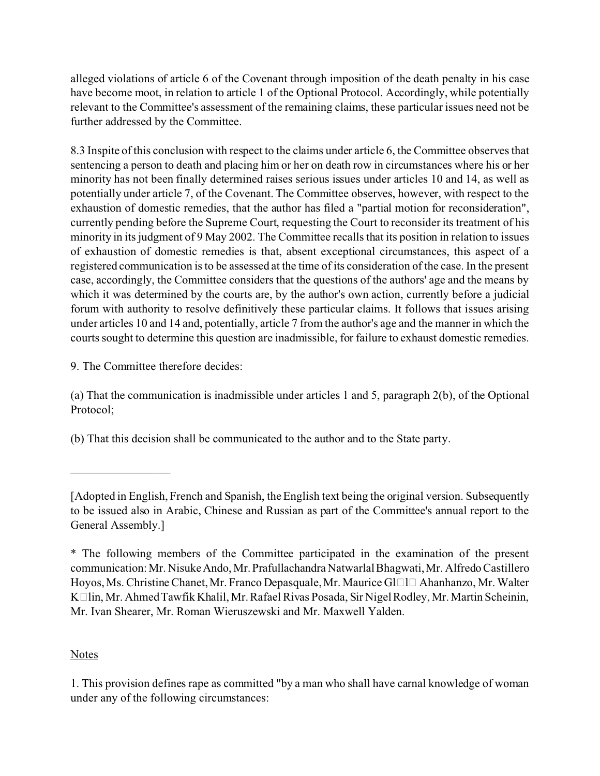alleged violations of article 6 of the Covenant through imposition of the death penalty in his case have become moot, in relation to article 1 of the Optional Protocol. Accordingly, while potentially relevant to the Committee's assessment of the remaining claims, these particular issues need not be further addressed by the Committee.

8.3 Inspite of this conclusion with respect to the claims under article 6, the Committee observes that sentencing a person to death and placing him or her on death row in circumstances where his or her minority has not been finally determined raises serious issues under articles 10 and 14, as well as potentially under article 7, of the Covenant. The Committee observes, however, with respect to the exhaustion of domestic remedies, that the author has filed a "partial motion for reconsideration", currently pending before the Supreme Court, requesting the Court to reconsider its treatment of his minority in its judgment of 9 May 2002. The Committee recalls that its position in relation to issues of exhaustion of domestic remedies is that, absent exceptional circumstances, this aspect of a registered communication is to be assessed at the time of its consideration of the case. In the present case, accordingly, the Committee considers that the questions of the authors' age and the means by which it was determined by the courts are, by the author's own action, currently before a judicial forum with authority to resolve definitively these particular claims. It follows that issues arising under articles 10 and 14 and, potentially, article 7 from the author's age and the manner in which the courts sought to determine this question are inadmissible, for failure to exhaust domestic remedies.

9. The Committee therefore decides:

\_\_\_\_\_\_\_\_\_\_\_\_\_\_\_\_\_

(a) That the communication is inadmissible under articles 1 and 5, paragraph 2(b), of the Optional Protocol;

(b) That this decision shall be communicated to the author and to the State party.

[Adopted in English, French and Spanish, the English text being the original version. Subsequently to be issued also in Arabic, Chinese and Russian as part of the Committee's annual report to the General Assembly.]

\* The following members of the Committee participated in the examination of the present communication: Mr. Nisuke Ando, Mr. Prafullachandra Natwarlal Bhagwati, Mr. Alfredo Castillero Hoyos, Ms. Christine Chanet, Mr. Franco Depasquale, Mr. Maurice Gl $\Box$ l $\Box$  Ahanhanzo, Mr. Walter Kälin, Mr. Ahmed Tawfik Khalil, Mr. Rafael Rivas Posada, Sir Nigel Rodley, Mr. Martin Scheinin, Mr. Ivan Shearer, Mr. Roman Wieruszewski and Mr. Maxwell Yalden.

# Notes

1. This provision defines rape as committed "by a man who shall have carnal knowledge of woman under any of the following circumstances: